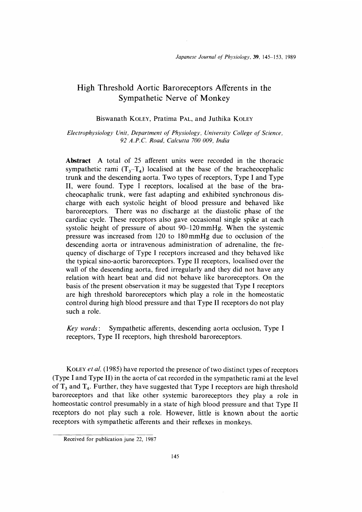# High Threshold Aortic Baroreceptors Afferents in the Sympathetic Nerve of Monkey

## Biswanath KoLEY, Pratima PAL, and Juthika KoLEY

Electrophysiology Unit, Department of Physiology, University College of Science, 92 A.P.C. Road, Calcutta 700 009, India

Abstract A total of 25 afferent units were recorded in the thoracic sympathetic rami  $(T_3-T_4)$  localised at the base of the bracheocephalic trunk and the descending aorta. Two types of receptors, Type I and Type II, were found. Type I receptors, localised at the base of the bracheocaphalic trunk, were fast adapting and exhibited synchronous discharge with each systolic height of blood pressure and behaved like baroreceptors. There was no discharge at the diastolic phase of the cardiac cycle. These receptors also gave occasional single spike at each systolic height of pressure of about 90-120 mmHg. When the systemic pressure was increased from 120 to 180 mmHg due to occlusion of the descending aorta or intravenous administration of adrenaline, the frequency of discharge of Type I receptors increased and they behaved like the typical sino-aortic baroreceptors. Type II receptors, localised over the wall of the descending aorta, fired irregularly and they did not have any relation with heart beat and did not behave like baroreceptors. On the basis of the present observation it may be suggested that Type I receptors are high threshold baroreceptors which play a role in the homeostatic control during high blood pressure and that Type II receptors do not play such a role.

Key words: Sympathetic afferents, descending aorta occlusion, Type I receptors, Type II receptors, high threshold baroreceptors.

KOLEY et al. (1985) have reported the presence of two distinct types of receptors (Type I and Type II) in the aorta of cat recorded in the sympathetic rami at the level of  $T_3$  and  $T_4$ . Further, they have suggested that Type I receptors are high threshold baroreceptors and that like other systemic baroreceptors they play a role in homeostatic control presumably in a state of high blood pressure and that Type II receptors do not play such a role. However, little is known about the aortic receptors with sympathetic afferents and their reflexes in monkeys.

Received for publication june 22, 1987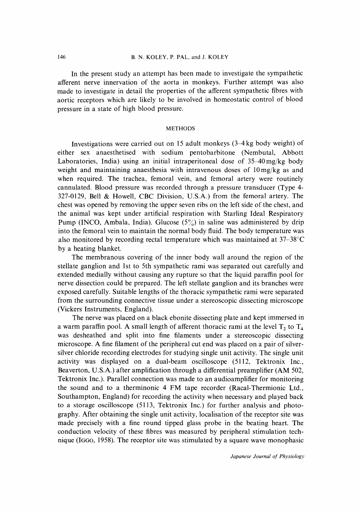In the present study an attempt has been made to investigate the sympathetic afferent nerve innervation of the aorta in monkeys. Further attempt was also made to investigate in detail the properties of the afferent sympathetic fibres with aortic receptors which are likely to be involved in homeostatic control of blood pressure in a state of high blood pressure.

#### METHODS

 Investigations were carried out on 15 adult monkeys (3-4 kg body weight) of either sex anaesthetised with sodium pentobarbitone (Nembutal, Abbott Laboratories, India) using an initial intraperitoneal dose of 35-40 mg/kg body weight and maintaining anaesthesia with intravenous doses of  $10 \,\text{mg/kg}$  as and when required. The trachea, femoral vein, and femoral artery were routinely cannulated. Blood pressure was recorded through a pressure transducer (Type 4- 327-0129, Bell & Howell, CBC Division, U.S.A.) from the femoral artery. The chest was opened by removing the upper seven ribs on the left side of the chest, and the animal was kept under artificial respiration with Starling Ideal Respiratory Pump (INCO, Ambala, India). Glucose  $(5\%)$  in saline was administered by drip into the femoral vein to maintain the normal body fluid. The body temperature was also monitored by recording rectal temperature which was maintained at 37-38°C by a heating blanket.

 The membranous covering of the inner body wall around the region of the stellate ganglion and 1st to 5th sympathetic rami was separated out carefully and extended medially without causing any rupture so that the liquid paraffin pool for nerve dissection could be prepared. The left stellate ganglion and its branches were exposed carefully. Suitable lengths of the thoracic sympathetic rami were separated from the surrounding connective tissue under a stereoscopic dissecting microscope (Vickers Instruments, England).

 The nerve was placed on a black ebonite dissecting plate and kept immersed in a warm paraffin pool. A small length of afferent thoracic rami at the level  $T_2$  to  $T_4$ was desheathed and split into fine filaments under a stereoscopic dissecting microscope. A fine filament of the peripheral cut end was placed on a pair of silversilver chloride recording electrodes for studying single unit activity. The single unit activity was displayed on a dual-beam oscilloscope (5112, Tektronix Inc., Beaverton, U.S.A.) after amplification through a differential preamplifier (AM 502, Tektronix Inc.). Parallel connection was made to an audioamplifier for monitoring the sound and to a therminonic 4 FM tape recorder (Racal-Thermionic Ltd., Southampton, England) for recording the activity when necessary and played back to a storage oscilloscope (5113, Tektronix Inc.) for further analysis and photography. After obtaining the single unit activity, localisation of the receptor site was made precisely with a fine round tipped glass probe in the beating heart. The conduction velocity of these fibres was measured by peripheral stimulation technique (IGGO, 1958). The receptor site was stimulated by a square wave monophasic

Japanese Journal of Physiology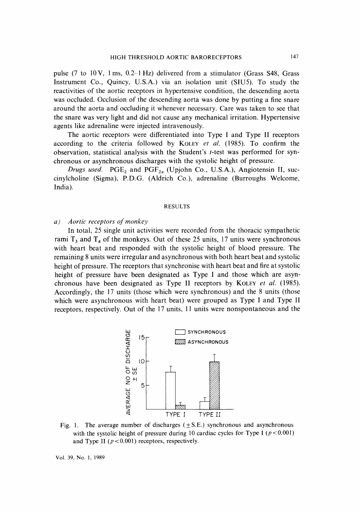pulse (7 to 10 V, 1 ms, 0.2-1 Hz) delivered from a stimulator (Grass S48, Grass Instrument Co., Quincy, U.S.A.) via an isolation unit (SIU5). To study the reactivities of the aortic receptors in hypertensive condition, the descending aorta was occluded. Occlusion of the descending aorta was done by putting a fine snare around the aorta and occluding it whenever necessary. Care was taken to see that the snare was very light and did not cause any mechanical irritation. Hypertensive agents like adrenaline were injected intravenously.

 The aortic receptors were differentiated into Type I and Type II receptors according to the criteria followed by KOLEY *et al.* (1985). To confirm the observation, statistical analysis with the Student's t-test was performed for synchronous or asynchronous discharges with the systolic height of pressure.

Drugs used. PGE<sub>2</sub> and PGF<sub>2a</sub> (Upjohn Co., U.S.A.), Angiotensin II, succinylcholine (Sigma), P.D.G. (Aldrich Co.), adrenaline (Burroughs Welcome, India).

#### RESULTS

### a) Aortic receptors of monkey

 In total, 25 single unit activities were recorded from the thoracic sympathetic rami  $T_3$  and  $T_4$  of the monkeys. Out of these 25 units, 17 units were synchronous with heart beat and responded with the systolic height of blood pressure. The remaining 8 units were irregular and asynchronous with both heart beat and systolic height of pressure. The receptors that synchronise with heart beat and fire at systolic height of pressure have been designated as Type I and those which are asynchronous have been designated as Type II receptors by KOLEY *et al.* (1985). Accordingly, the 17 units (those which were synchronous) and the 8 units (those which were asynchronous with heart beat) were grouped as Type I and Type II receptors, respectively. Out of the 17 units, 11 units were nonspontaneous and the



Fig. 1. The average number of discharges ( $\pm$  S.E.) synchronous and asynchronous with the systolic height of pressure during 10 cardiac cycles for Type I ( $p < 0.001$ ) and Type II ( $p < 0.001$ ) receptors, respectively.

Vol. 39, No. 1, 1989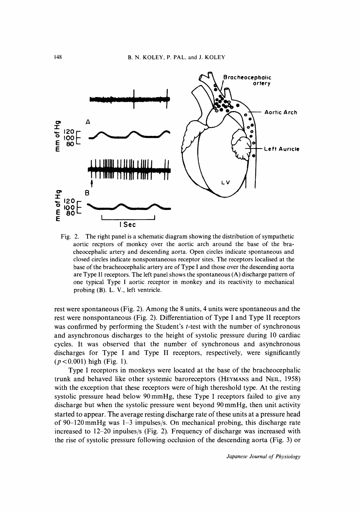

Fig. 2. The right panel is a schematic diagram showing the distribution of sympathetic aortic recptors of monkey over the aortic arch around the base of the bracheocephalic artery and descending aorta. Open circles indicate spontaneous and closed circles indicate nonspontaneous receptor sites. The receptors localised at the base of the bracheocephalic artery are of Type I and those over the descending aorta are Type II receptors. The left panel shows the spontaneous (A) discharge pattern of one typical Type I aortic receptor in monkey and its reactivity to mechanical probing (B). L. V., left ventricle.

rest were spontaneous (Fig. 2). Among the 8 units, 4 units were spontaneous and the rest were nonspontaneous (Fig. 2). Differentiation of Type I and Type II receptors was confirmed by performing the Student's *t*-test with the number of synchronous and asynchronous discharges to the height of systolic pressure during 10 cardiac cycles. It was observed that the number of synchronous and asynchronous discharges for Type I and Type II receptors, respectively, were significantly  $(p < 0.001)$  high (Fig. 1).

 Type I receptors in monkeys were located at the base of the bracheocephalic trunk and behaved like other systemic baroreceptors (HEYMANS and NEIL, 1958) with the exception that these receptors were of high thereshold type. At the resting systolic pressure head below 90 mmHg, these Type I receptors failed to give any discharge but when the systolic pressure went beyond 90 mmHg, then unit activity started to appear. The average resting discharge rate of these units at a pressure head of 90-120 mmHg was 1-3 impulses/s. On mechanical probing, this discharge rate increased to 12-20 inpulses/s (Fig. 2). Frequency of discharge was increased with the rise of systolic pressure following occlusion of the descending aorta (Fig. 3) or

Japanese Journal of Physiology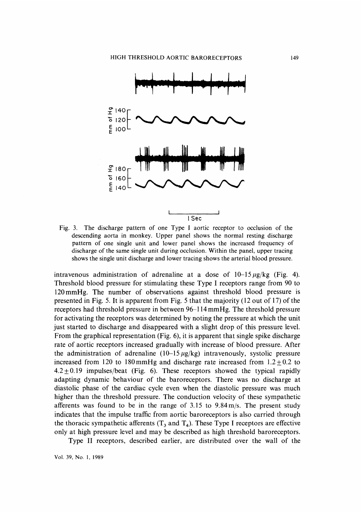

Fig. 3. The discharge pattern of one Type I aortic receptor to occlusion of the descending aorta in monkey. Upper panel shows the normal resting discharge pattern of one single unit and lower panel shows the increased frequency of discharge of the same single unit during occlusion. Within the panel, upper tracing shows the single unit discharge and lower tracing shows the arterial blood pressure.

intravenous administration of adrenaline at a dose of  $10-15 \mu g/kg$  (Fig. 4). Threshold blood pressure for stimulating these Type I receptors range from 90 to 120 mmHg. The number of observations against threshold blood pressure is presented in Fig. 5. It is apparent from Fig. 5 that the majority (12 out of 17) of the receptors had threshold pressure in between 96-114 mmHg. The threshold pressure for activating the receptors was determined by noting the pressure at which the unit just started to discharge and disappeared with a slight drop of this pressure level. From the graphical representation (Fig. 6), it is apparent that single spike discharge rate of aortic receptors increased gradually with increase of blood pressure. After the administration of adrenaline  $(10-15 \mu g/kg)$  intravenously, systolic pressure increased from 120 to 180 mmHg and discharge rate increased from  $1.2 + 0.2$  to  $4.2 + 0.19$  impulses/beat (Fig. 6). These receptors showed the typical rapidly adapting dynamic behaviour of the baroreceptors. There was no discharge at diastolic phase of the cardiac cycle even when the diastolic pressure was much higher than the threshold pressure. The conduction velocity of these sympathetic afferents was found to be in the range of  $3.15$  to  $9.84 \text{ m/s}$ . The present study indicates that the impulse traffic from aortic baroreceptors is also carried through the thoracic sympathetic afferents  $(T_3$  and  $T_4$ ). These Type I receptors are effective only at high pressure level and may be described as high threshold baroreceptors.

Type II receptors, described earlier, are distributed over the wall of the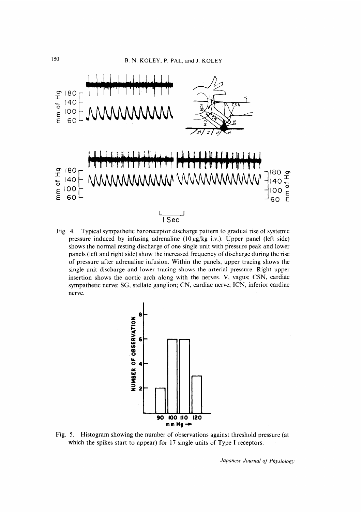

Fig. 4. Typical sympathetic baroreceptor discharge pattern to gradual rise of systemic pressure induced by infusing adrenaline  $(10 \mu g/kg$  i.v.). Upper panel (left side) shows the normal resting discharge of one single unit with pressure peak and lower panels (left and right side) show the increased frequency of discharge during the rise of pressure after adrenaline infusion. Within the panels, upper tracing shows the single unit discharge and lower tracing shows the arterial pressure. Right upper insertion shows the aortic arch along with the nerves. V, vagus; CSN, cardiac sympathetic nerve; SG, stellate ganglion; CN, cardiac nerve; ICN, inferior cardiac nerve.



Fig. 5. Histogram showing the number of observations against threshold pressure (at which the spikes start to appear) for 17 single units of Type I receptors.

Japanese Journal of Physiology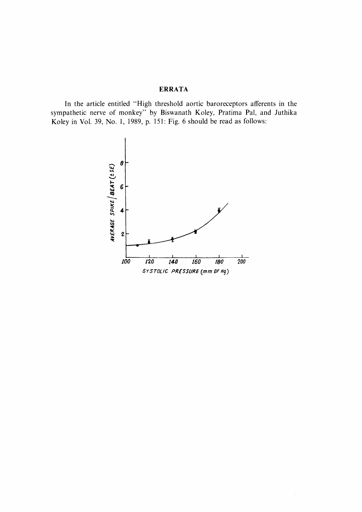## ERRATA

 In the article entitled "High threshold aortic baroreceptors aferents in the sympathetic nerve of monkey" by Biswanath Koley, Pratima Pal, and Juthika Koley in Vol. 39, No. 1, 1989, p. 151: Fig. 6 should be read as follows:

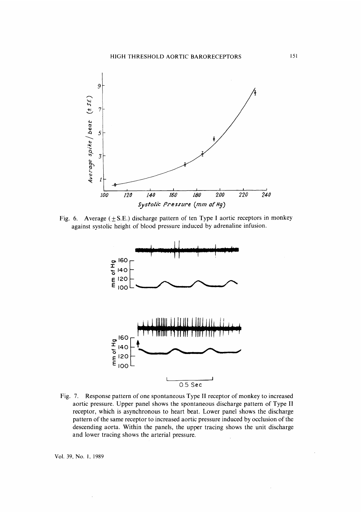

Fig. 6. Average  $(\pm S.E.)$  discharge pattern of ten Type I aortic receptors in monkey against systolic height of blood pressure induced by adrenaline infusion.



Fig. 7. Response pattern of one spontaneous Type II receptor of monkey to increased aortic pressure. Upper panel shows the spontaneous discharge pattern of Type II receptor, which is asynchronous to heart beat. Lower panel shows the discharge pattern of the same receptor to increased aortic pressure induced by occlusion of the descending aorta. Within the panels, the upper tracing shows the unit discharge and lower tracing shows the arterial pressure.

Vol. 39, No. 1, 1989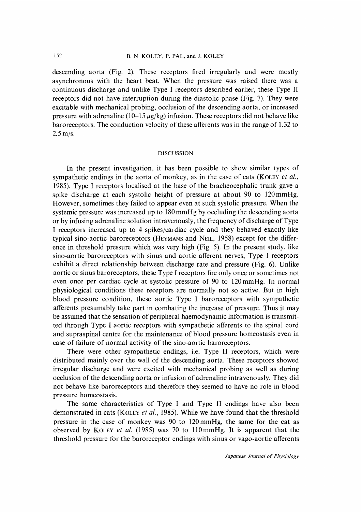descending aorta (Fig. 2). These receptors fired irregularly and were mostly asynchronous with the heart beat. When the pressure was raised there was a continuous discharge and unlike Type I receptors described earlier, these Type II receptors did not have interruption during the diastolic phase (Fig. 7). They were excitable with mechanical probing, occlusion of the descending aorta, or increased pressure with adrenaline (10–15  $\mu$ g/kg) infusion. These receptors did not behave like baroreceptors. The conduction velocity of these afferents was in the range of 1.32 to 2.5 m/s.

### DISCUSSION

 In the present investigation, it has been possible to show similar types of sympathetic endings in the aorta of monkey, as in the case of cats (KOLEY et al., 1985). Type I receptors localised at the base of the bracheocephalic trunk gave a spike discharge at each systolic height of pressure at about 90 to 120 mmHg. However, sometimes they failed to appear even at such systolic pressure. When the systemic pressure was increased up to 180 mmHg by occluding the descending aorta or by infusing adrenaline solution intravenously, the frequency of discharge of Type I receptors increased up to 4 spikes/cardiac cycle and they behaved exactly like typical sino-aortic baroreceptors (HEYMANS and NEIL, 1958) except for the difference in threshold pressure which was very high (Fig. 5). In the present study, like sino-aortic baroreceptors with sinus and aortic afferent nerves, Type I receptors exhibit a direct relationship between discharge rate and pressure (Fig. 6). Unlike aortic or sinus baroreceptors, these Type I receptors fire only once or sometimes not even once per cardiac cycle at systolic pressure of 90 to 120 mmHg. In normal physiological conditions these receptors are normally not so active. But in high blood pressure condition, these aortic Type I baroreceptors with sympathetic afferents presumably take part in combating the increase of pressure. Thus it may be assumed that the sensation of peripheral haemodynamic information is transmitted through Type I aortic receptors with sympathetic afferents to the spinal cord and supraspinal centre for the maintenance of blood pressure homeostasis even in case of failure of normal activity of the sino-aortic baroreceptors.

 There were other sympathetic endings, i.e. Type II receptors, which were distributed mainly over the wall of the descending aorta. These receptors showed irregular discharge and were excited with mechanical probing as well as during occlusion of the descending aorta or infusion of adrenaline intravenously. They did not behave like baroreceptors and therefore they seemed to have no role in blood pressure homeostasis.

 The same characteristics of Type I and Type II endings have also been demonstrated in cats (KOLEY et al., 1985). While we have found that the threshold pressure in the case of monkey was 90 to 120 mmHg, the same for the cat as observed by KOLEY et al. (1985) was 70 to 110 mmHg. It is apparent that the threshold pressure for the baroreceptor endings with sinus or vago-aortic afferents